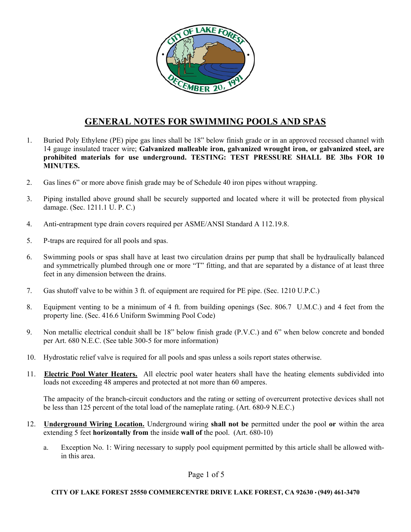

# **GENERAL NOTES FOR SWIMMING POOLS AND SPAS**

- 1. Buried Poly Ethylene (PE) pipe gas lines shall be 18" below finish grade or in an approved recessed channel with 14 gauge insulated tracer wire; **Galvanized malleable iron, galvanized wrought iron, or galvanized steel, are prohibited materials for use underground. TESTING: TEST PRESSURE SHALL BE 3lbs FOR 10 MINUTES.**
- 2. Gas lines 6" or more above finish grade may be of Schedule 40 iron pipes without wrapping.
- 3. Piping installed above ground shall be securely supported and located where it will be protected from physical damage. (Sec. 1211.1 U. P. C.)
- 4. Anti-entrapment type drain covers required per ASME/ANSI Standard A 112.19.8.
- 5. P-traps are required for all pools and spas.
- 6. Swimming pools or spas shall have at least two circulation drains per pump that shall be hydraulically balanced and symmetrically plumbed through one or more "T" fitting, and that are separated by a distance of at least three feet in any dimension between the drains.
- 7. Gas shutoff valve to be within 3 ft. of equipment are required for PE pipe. (Sec. 1210 U.P.C.)
- 8. Equipment venting to be a minimum of 4 ft. from building openings (Sec. 806.7 U.M.C.) and 4 feet from the property line. (Sec. 416.6 Uniform Swimming Pool Code)
- 9. Non metallic electrical conduit shall be 18" below finish grade (P.V.C.) and 6" when below concrete and bonded per Art. 680 N.E.C. (See table 300-5 for more information)
- 10. Hydrostatic relief valve is required for all pools and spas unless a soils report states otherwise.
- 11. **Electric Pool Water Heaters.** All electric pool water heaters shall have the heating elements subdivided into loads not exceeding 48 amperes and protected at not more than 60 amperes.

The ampacity of the branch-circuit conductors and the rating or setting of overcurrent protective devices shall not be less than 125 percent of the total load of the nameplate rating. (Art. 680-9 N.E.C.)

- 12. **Underground Wiring Location.** Underground wiring **shall not be** permitted under the pool **or** within the area extending 5 feet **horizontally from** the inside **wall of** the pool. (Art. 680-10)
	- a. Exception No. 1: Wiring necessary to supply pool equipment permitted by this article shall be allowed within this area.

Page 1 of 5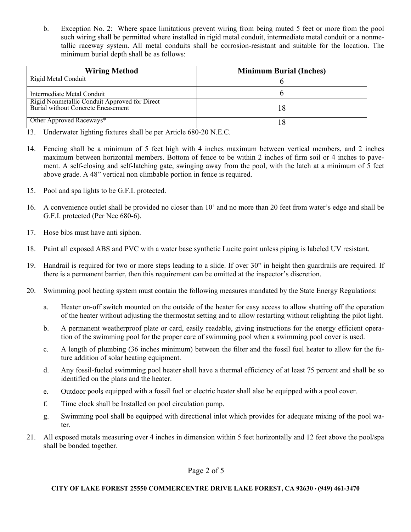b. Exception No. 2: Where space limitations prevent wiring from being muted 5 feet or more from the pool such wiring shall be permitted where installed in rigid metal conduit, intermediate metal conduit or a nonmetallic raceway system. All metal conduits shall be corrosion-resistant and suitable for the location. The minimum burial depth shall be as follows:

| <b>Wiring Method</b>                                                                | <b>Minimum Burial (Inches)</b> |
|-------------------------------------------------------------------------------------|--------------------------------|
| Rigid Metal Conduit                                                                 |                                |
| Intermediate Metal Conduit                                                          |                                |
| Rigid Nonmetallic Conduit Approved for Direct<br>Burial without Concrete Encasement | 18                             |
| Other Approved Raceways*                                                            |                                |

- 13. Underwater lighting fixtures shall be per Article 680-20 N.E.C.
- 14. Fencing shall be a minimum of 5 feet high with 4 inches maximum between vertical members, and 2 inches maximum between horizontal members. Bottom of fence to be within 2 inches of firm soil or 4 inches to pavement. A self-closing and self-latching gate, swinging away from the pool, with the latch at a minimum of 5 feet above grade. A 48" vertical non climbable portion in fence is required.
- 15. Pool and spa lights to be G.F.I. protected.
- 16. A convenience outlet shall be provided no closer than 10' and no more than 20 feet from water's edge and shall be G.F.I. protected (Per Nec 680-6).
- 17. Hose bibs must have anti siphon.
- 18. Paint all exposed ABS and PVC with a water base synthetic Lucite paint unless piping is labeled UV resistant.
- 19. Handrail is required for two or more steps leading to a slide. If over 30" in height then guardrails are required. If there is a permanent barrier, then this requirement can be omitted at the inspector's discretion.
- 20. Swimming pool heating system must contain the following measures mandated by the State Energy Regulations:
	- a. Heater on-off switch mounted on the outside of the heater for easy access to allow shutting off the operation of the heater without adjusting the thermostat setting and to allow restarting without relighting the pilot light.
	- b. A permanent weatherproof plate or card, easily readable, giving instructions for the energy efficient operation of the swimming pool for the proper care of swimming pool when a swimming pool cover is used.
	- c. A length of plumbing (36 inches minimum) between the filter and the fossil fuel heater to allow for the future addition of solar heating equipment.
	- d. Any fossil-fueled swimming pool heater shall have a thermal efficiency of at least 75 percent and shall be so identified on the plans and the heater.
	- e. Outdoor pools equipped with a fossil fuel or electric heater shall also be equipped with a pool cover.
	- f. Time clock shall be Installed on pool circulation pump.
	- g. Swimming pool shall be equipped with directional inlet which provides for adequate mixing of the pool water.
- 21. All exposed metals measuring over 4 inches in dimension within 5 feet horizontally and 12 feet above the pool/spa shall be bonded together.

Page 2 of 5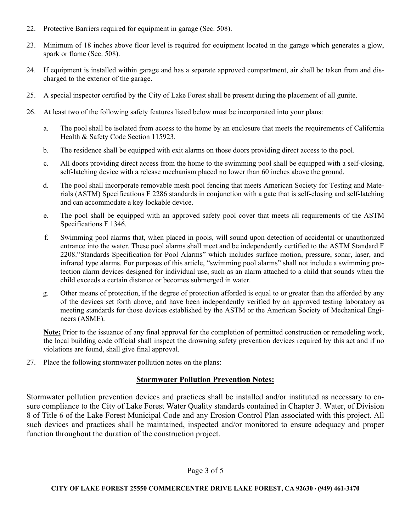- 22. Protective Barriers required for equipment in garage (Sec. 508).
- 23. Minimum of 18 inches above floor level is required for equipment located in the garage which generates a glow, spark or flame (Sec. 508).
- 24. If equipment is installed within garage and has a separate approved compartment, air shall be taken from and discharged to the exterior of the garage.
- 25. A special inspector certified by the City of Lake Forest shall be present during the placement of all gunite.
- 26. At least two of the following safety features listed below must be incorporated into your plans:
	- a. The pool shall be isolated from access to the home by an enclosure that meets the requirements of California Health & Safety Code Section 115923.
	- b. The residence shall be equipped with exit alarms on those doors providing direct access to the pool.
	- c. All doors providing direct access from the home to the swimming pool shall be equipped with a self-closing, self-latching device with a release mechanism placed no lower than 60 inches above the ground.
	- d. The pool shall incorporate removable mesh pool fencing that meets American Society for Testing and Materials (ASTM) Specifications F 2286 standards in conjunction with a gate that is self-closing and self-latching and can accommodate a key lockable device.
	- e. The pool shall be equipped with an approved safety pool cover that meets all requirements of the ASTM Specifications F 1346.
	- f. Swimming pool alarms that, when placed in pools, will sound upon detection of accidental or unauthorized entrance into the water. These pool alarms shall meet and be independently certified to the ASTM Standard F 2208."Standards Specification for Pool Alarms" which includes surface motion, pressure, sonar, laser, and infrared type alarms. For purposes of this article, "swimming pool alarms" shall not include a swimming protection alarm devices designed for individual use, such as an alarm attached to a child that sounds when the child exceeds a certain distance or becomes submerged in water.
	- g. Other means of protection, if the degree of protection afforded is equal to or greater than the afforded by any of the devices set forth above, and have been independently verified by an approved testing laboratory as meeting standards for those devices established by the ASTM or the American Society of Mechanical Engineers (ASME).

**Note:** Prior to the issuance of any final approval for the completion of permitted construction or remodeling work, the local building code official shall inspect the drowning safety prevention devices required by this act and if no violations are found, shall give final approval.

27. Place the following stormwater pollution notes on the plans:

## **Stormwater Pollution Prevention Notes:**

Stormwater pollution prevention devices and practices shall be installed and/or instituted as necessary to ensure compliance to the City of Lake Forest Water Quality standards contained in Chapter 3. Water, of Division 8 of Title 6 of the Lake Forest Municipal Code and any Erosion Control Plan associated with this project. All such devices and practices shall be maintained, inspected and/or monitored to ensure adequacy and proper function throughout the duration of the construction project.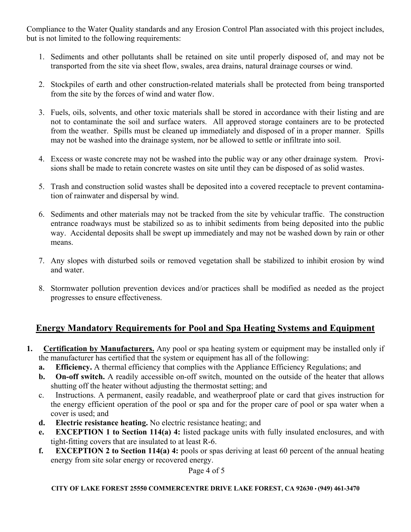Compliance to the Water Quality standards and any Erosion Control Plan associated with this project includes, but is not limited to the following requirements:

- 1. Sediments and other pollutants shall be retained on site until properly disposed of, and may not be transported from the site via sheet flow, swales, area drains, natural drainage courses or wind.
- 2. Stockpiles of earth and other construction-related materials shall be protected from being transported from the site by the forces of wind and water flow.
- 3. Fuels, oils, solvents, and other toxic materials shall be stored in accordance with their listing and are not to contaminate the soil and surface waters. All approved storage containers are to be protected from the weather. Spills must be cleaned up immediately and disposed of in a proper manner. Spills may not be washed into the drainage system, nor be allowed to settle or infiltrate into soil.
- 4. Excess or waste concrete may not be washed into the public way or any other drainage system. Provisions shall be made to retain concrete wastes on site until they can be disposed of as solid wastes.
- 5. Trash and construction solid wastes shall be deposited into a covered receptacle to prevent contamination of rainwater and dispersal by wind.
- 6. Sediments and other materials may not be tracked from the site by vehicular traffic. The construction entrance roadways must be stabilized so as to inhibit sediments from being deposited into the public way. Accidental deposits shall be swept up immediately and may not be washed down by rain or other means.
- 7. Any slopes with disturbed soils or removed vegetation shall be stabilized to inhibit erosion by wind and water.
- 8. Stormwater pollution prevention devices and/or practices shall be modified as needed as the project progresses to ensure effectiveness.

# **Energy Mandatory Requirements for Pool and Spa Heating Systems and Equipment**

- **1. Certification by Manufacturers.** Any pool or spa heating system or equipment may be installed only if the manufacturer has certified that the system or equipment has all of the following:
	- **a. Efficiency.** A thermal efficiency that complies with the Appliance Efficiency Regulations; and
	- **b. On-off switch.** A readily accessible on-off switch, mounted on the outside of the heater that allows shutting off the heater without adjusting the thermostat setting; and
	- c. Instructions. A permanent, easily readable, and weatherproof plate or card that gives instruction for the energy efficient operation of the pool or spa and for the proper care of pool or spa water when a cover is used; and
	- **d. Electric resistance heating.** No electric resistance heating; and
	- **e. EXCEPTION 1 to Section 114(a) 4:** listed package units with fully insulated enclosures, and with tight-fitting covers that are insulated to at least R-6.
	- **f. EXCEPTION 2 to Section 114(a) 4:** pools or spas deriving at least 60 percent of the annual heating energy from site solar energy or recovered energy.

Page 4 of 5